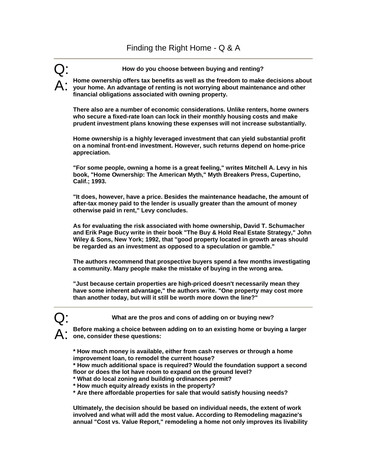Q: **How do you choose between buying and renting?**

A: **Home ownership offers tax benefits as well as the freedom to make decisions about your home. An advantage of renting is not worrying about maintenance and other financial obligations associated with owning property.** 

**There also are a number of economic considerations. Unlike renters, home owners who secure a fixed-rate loan can lock in their monthly housing costs and make prudent investment plans knowing these expenses will not increase substantially.** 

**Home ownership is a highly leveraged investment that can yield substantial profit on a nominal front-end investment. However, such returns depend on home-price appreciation.** 

**"For some people, owning a home is a great feeling," writes Mitchell A. Levy in his book, "Home Ownership: The American Myth," Myth Breakers Press, Cupertino, Calif.; 1993.** 

**"It does, however, have a price. Besides the maintenance headache, the amount of after-tax money paid to the lender is usually greater than the amount of money otherwise paid in rent," Levy concludes.** 

**As for evaluating the risk associated with home ownership, David T. Schumacher and Erik Page Bucy write in their book "The Buy & Hold Real Estate Strategy," John Wiley & Sons, New York; 1992, that "good property located in growth areas should be regarded as an investment as opposed to a speculation or gamble."** 

**The authors recommend that prospective buyers spend a few months investigating a community. Many people make the mistake of buying in the wrong area.** 

**"Just because certain properties are high-priced doesn't necessarily mean they have some inherent advantage," the authors write. "One property may cost more than another today, but will it still be worth more down the line?"**

What are the pros and cons of adding on or buying new?

A: **Before making a choice between adding on to an existing home or buying a larger one, consider these questions:** 

**\* How much money is available, either from cash reserves or through a home improvement loan, to remodel the current house?** 

**\* How much additional space is required? Would the foundation support a second floor or does the lot have room to expand on the ground level?** 

- **\* What do local zoning and building ordinances permit?**
- **\* How much equity already exists in the property?**
- **\* Are there affordable properties for sale that would satisfy housing needs?**

**Ultimately, the decision should be based on individual needs, the extent of work involved and what will add the most value. According to Remodeling magazine's annual "Cost vs. Value Report," remodeling a home not only improves its livability**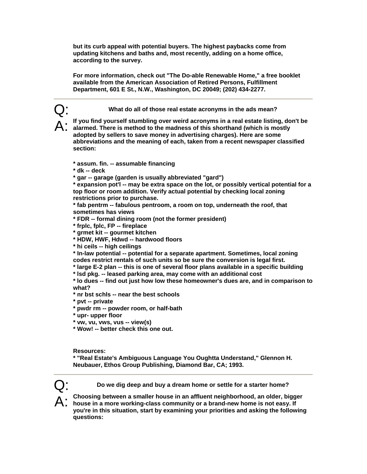**but its curb appeal with potential buyers. The highest paybacks come from updating kitchens and baths and, most recently, adding on a home office, according to the survey.** 

**For more information, check out "The Do-able Renewable Home," a free booklet available from the American Association of Retired Persons, Fulfillment Department, 601 E St., N.W., Washington, DC 20049; (202) 434-2277.** 

Q: **What do all of those real estate acronyms in the ads mean?** 

A: **If you find yourself stumbling over weird acronyms in a real estate listing, don't be alarmed. There is method to the madness of this shorthand (which is mostly adopted by sellers to save money in advertising charges). Here are some abbreviations and the meaning of each, taken from a recent newspaper classified section:** 

## **\* assum. fin. -- assumable financing**

**\* dk -- deck** 

**\* gar -- garage (garden is usually abbreviated "gard")** 

**\* expansion pot'l -- may be extra space on the lot, or possibly vertical potential for a top floor or room addition. Verify actual potential by checking local zoning restrictions prior to purchase.** 

**\* fab pentrm -- fabulous pentroom, a room on top, underneath the roof, that sometimes has views** 

**\* FDR -- formal dining room (not the former president)** 

**\* frplc, fplc, FP -- fireplace** 

**\* grmet kit -- gourmet kitchen** 

**\* HDW, HWF, Hdwd -- hardwood floors** 

**\* hi ceils -- high ceilings** 

**\* In-law potential -- potential for a separate apartment. Sometimes, local zoning codes restrict rentals of such units so be sure the conversion is legal first.** 

**\* large E-2 plan -- this is one of several floor plans available in a specific building** 

**\* lsd pkg. -- leased parking area, may come with an additional cost** 

**\* lo dues -- find out just how low these homeowner's dues are, and in comparison to what?** 

**\* nr bst schls -- near the best schools** 

**\* pvt -- private** 

**\* pwdr rm -- powder room, or half-bath** 

**\* upr- upper floor** 

**\* vw, vu, vws, vus -- view(s)** 

**\* Wow! -- better check this one out.** 

**Resources:** 

**\* "Real Estate's Ambiguous Language You Oughtta Understand," Glennon H. Neubauer, Ethos Group Publishing, Diamond Bar, CA; 1993.** 



Q: **Do we dig deep and buy a dream home or settle for a starter home?** 

A: **Choosing between a smaller house in an affluent neighborhood, an older, bigger house in a more working-class community or a brand-new home is not easy. If you're in this situation, start by examining your priorities and asking the following questions:**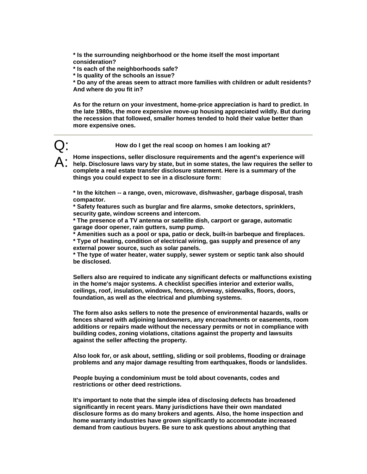**\* Is the surrounding neighborhood or the home itself the most important consideration?** 

**\* Is each of the neighborhoods safe?** 

**\* Is quality of the schools an issue?** 

**\* Do any of the areas seem to attract more families with children or adult residents? And where do you fit in?** 

**As for the return on your investment, home-price appreciation is hard to predict. In the late 1980s, the more expensive move-up housing appreciated wildly. But during the recession that followed, smaller homes tended to hold their value better than more expensive ones.** 

Q: **How do I get the real scoop on homes I am looking at?** 

A: **Home inspections, seller disclosure requirements and the agent's experience will help. Disclosure laws vary by state, but in some states, the law requires the seller to complete a real estate transfer disclosure statement. Here is a summary of the things you could expect to see in a disclosure form:** 

**\* In the kitchen -- a range, oven, microwave, dishwasher, garbage disposal, trash compactor.** 

**\* Safety features such as burglar and fire alarms, smoke detectors, sprinklers, security gate, window screens and intercom.** 

**\* The presence of a TV antenna or satellite dish, carport or garage, automatic garage door opener, rain gutters, sump pump.** 

**\* Amenities such as a pool or spa, patio or deck, built-in barbeque and fireplaces.** 

**\* Type of heating, condition of electrical wiring, gas supply and presence of any external power source, such as solar panels.** 

**\* The type of water heater, water supply, sewer system or septic tank also should be disclosed.** 

**Sellers also are required to indicate any significant defects or malfunctions existing in the home's major systems. A checklist specifies interior and exterior walls, ceilings, roof, insulation, windows, fences, driveway, sidewalks, floors, doors, foundation, as well as the electrical and plumbing systems.** 

**The form also asks sellers to note the presence of environmental hazards, walls or fences shared with adjoining landowners, any encroachments or easements, room additions or repairs made without the necessary permits or not in compliance with building codes, zoning violations, citations against the property and lawsuits against the seller affecting the property.** 

**Also look for, or ask about, settling, sliding or soil problems, flooding or drainage problems and any major damage resulting from earthquakes, floods or landslides.** 

**People buying a condominium must be told about covenants, codes and restrictions or other deed restrictions.** 

**It's important to note that the simple idea of disclosing defects has broadened significantly in recent years. Many jurisdictions have their own mandated disclosure forms as do many brokers and agents. Also, the home inspection and home warranty industries have grown significantly to accommodate increased demand from cautious buyers. Be sure to ask questions about anything that**